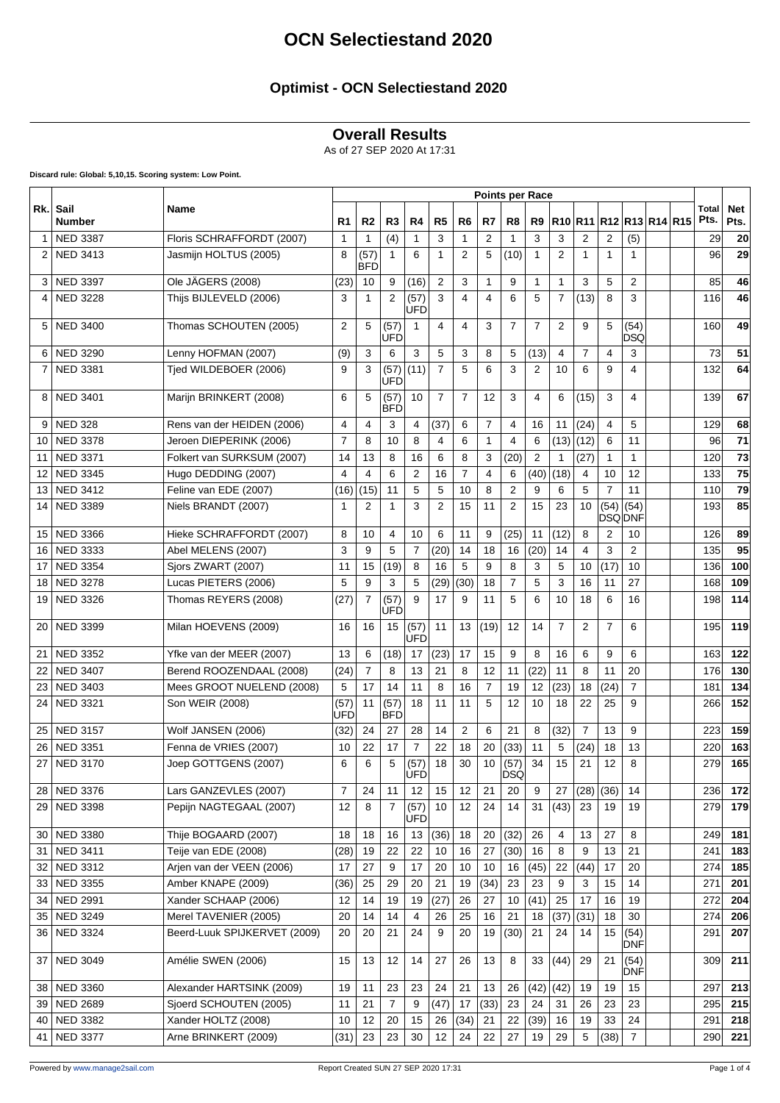### **Optimist - OCN Selectiestand 2020**

#### **Overall Results**

As of 27 SEP 2020 At 17:31

**Discard rule: Global: 5,10,15. Scoring system: Low Point.**

|              |                       | Name                         | <b>Points per Race</b> |                    |                |                    |                |                |                |                |                |                |                |                |                         |  |                      |                    |
|--------------|-----------------------|------------------------------|------------------------|--------------------|----------------|--------------------|----------------|----------------|----------------|----------------|----------------|----------------|----------------|----------------|-------------------------|--|----------------------|--------------------|
| Rk.          | Sail<br><b>Number</b> |                              | R1                     | R <sub>2</sub>     | R <sub>3</sub> | R4                 | R <sub>5</sub> | R <sub>6</sub> | R7             | R8             | R9             |                |                |                | R10 R11 R12 R13 R14 R15 |  | <b>Total</b><br>Pts. | <b>Net</b><br>Pts. |
| $\mathbf{1}$ | <b>NED 3387</b>       | Floris SCHRAFFORDT (2007)    | 1                      | 1                  | (4)            | $\mathbf{1}$       | 3              | $\mathbf{1}$   | 2              | $\mathbf{1}$   | 3              | 3              | 2              | 2              | (5)                     |  | 29                   | 20                 |
| 2            | <b>NED 3413</b>       | Jasmijn HOLTUS (2005)        | 8                      | (57)<br><b>BFD</b> | $\mathbf{1}$   | 6                  | 1              | $\overline{2}$ | 5              | (10)           | 1              | $\overline{2}$ | 1              | 1              | 1                       |  | 96                   | 29                 |
| 3            | <b>NED 3397</b>       | Ole JÄGERS (2008)            | (23)                   | 10                 | 9              | (16)               | $\overline{2}$ | 3              | 1              | 9              | 1              | $\mathbf{1}$   | 3              | 5              | 2                       |  | 85                   | 46                 |
| 4            | <b>NED 3228</b>       | Thijs BIJLEVELD (2006)       | 3                      | $\mathbf{1}$       | 2              | (57)<br>UFD        | 3              | $\overline{4}$ | 4              | 6              | 5              | $\overline{7}$ | (13)           | 8              | 3                       |  | 116                  | 46                 |
| 5            | <b>NED 3400</b>       | Thomas SCHOUTEN (2005)       | 2                      | 5                  | (57)<br>UFD    | $\mathbf{1}$       | 4              | 4              | 3              | $\overline{7}$ | 7              | 2              | 9              | 5              | (54)<br>DSQ             |  | 160                  | 49                 |
| 6            | <b>NED 3290</b>       | Lenny HOFMAN (2007)          | (9)                    | 3                  | 6              | 3                  | 5              | 3              | 8              | 5              | (13)           | 4              | $\overline{7}$ | 4              | 3                       |  | 73                   | 51                 |
| 7            | <b>NED 3381</b>       | Tjed WILDEBOER (2006)        | 9                      | 3                  | (57)<br>UFD    | (11)               | 7              | 5              | 6              | 3              | 2              | 10             | 6              | 9              | 4                       |  | 132                  | 64                 |
| 8            | <b>NED 3401</b>       | Marijn BRINKERT (2008)       | 6                      | 5                  | (57)<br>IBFD   | 10                 | $\overline{7}$ | $\overline{7}$ | 12             | 3              | 4              | 6              | (15)           | 3              | 4                       |  | 139                  | 67                 |
| 9            | <b>NED 328</b>        | Rens van der HEIDEN (2006)   | 4                      | $\overline{4}$     | 3              | 4                  | (37)           | 6              | $\overline{7}$ | 4              | 16             | 11             | (24)           | $\overline{4}$ | 5                       |  | 129                  | 68                 |
| 10           | <b>NED 3378</b>       | Jeroen DIEPERINK (2006)      | $\overline{7}$         | 8                  | 10             | 8                  | 4              | 6              | 1              | $\overline{4}$ | 6              | (13)           | (12)           | 6              | 11                      |  | 96                   | 71                 |
| 11           | <b>NED 3371</b>       | Folkert van SURKSUM (2007)   | 14                     | 13                 | 8              | 16                 | 6              | 8              | 3              | (20)           | $\overline{2}$ | $\mathbf{1}$   | (27)           | $\mathbf{1}$   | 1                       |  | 120                  | 73                 |
| 12           | <b>NED 3345</b>       | Hugo DEDDING (2007)          | 4                      | 4                  | 6              | $\overline{2}$     | 16             | $\overline{7}$ | 4              | 6              | (40)           | (18)           | 4              | 10             | 12                      |  | 133                  | 75                 |
| 13           | <b>NED 3412</b>       | Feline van EDE (2007)        | (16)                   | (15)               | 11             | 5                  | 5              | 10             | 8              | $\overline{2}$ | 9              | 6              | 5              | $\overline{7}$ | 11                      |  | 110                  | 79                 |
| 14           | <b>NED 3389</b>       | Niels BRANDT (2007)          | $\mathbf 1$            | $\overline{2}$     | $\mathbf{1}$   | 3                  | 2              | 15             | 11             | $\overline{2}$ | 15             | 23             | 10             | (54)           | (54)<br><b>DSQ DNF</b>  |  | 193                  | 85                 |
| 15           | <b>NED 3366</b>       | Hieke SCHRAFFORDT (2007)     | 8                      | 10                 | 4              | 10                 | 6              | 11             | 9              | (25)           | 11             | (12)           | 8              | 2              | 10                      |  | 126                  | 89                 |
| 16           | <b>NED 3333</b>       | Abel MELENS (2007)           | 3                      | 9                  | 5              | $\overline{7}$     | (20)           | 14             | 18             | 16             | (20)           | 14             | 4              | 3              | $\overline{2}$          |  | 135                  | 95                 |
| 17           | <b>NED 3354</b>       | Sjors ZWART (2007)           | 11                     | 15                 | (19)           | 8                  | 16             | 5              | 9              | 8              | 3              | 5              | 10             | (17)           | 10                      |  | 136                  | 100                |
| 18           | <b>NED 3278</b>       | Lucas PIETERS (2006)         | 5                      | 9                  | 3              | 5                  | (29)           | (30)           | 18             | $\overline{7}$ | 5              | 3              | 16             | 11             | 27                      |  | 168                  | 109                |
| 19           | <b>NED 3326</b>       | Thomas REYERS (2008)         | (27)                   | $\overline{7}$     | (57)<br>UFD    | 9                  | 17             | 9              | 11             | 5              | 6              | 10             | 18             | 6              | 16                      |  | 198                  | 114                |
| 20           | <b>NED 3399</b>       | Milan HOEVENS (2009)         | 16                     | 16                 | 15             | (57)<br>UFD        | 11             | 13             | (19)           | 12             | 14             | $\overline{7}$ | $\overline{2}$ | $\overline{7}$ | 6                       |  | 195                  | 119                |
| 21           | <b>NED 3352</b>       | Yfke van der MEER (2007)     | 13                     | 6                  | (18)           | 17                 | (23)           | 17             | 15             | 9              | 8              | 16             | 6              | 9              | 6                       |  | 163                  | 122                |
| 22           | <b>NED 3407</b>       | Berend ROOZENDAAL (2008)     | (24)                   | 7                  | 8              | 13                 | 21             | 8              | 12             | 11             | (22)           | 11             | 8              | 11             | 20                      |  | 176                  | 130                |
| 23           | <b>NED 3403</b>       | Mees GROOT NUELEND (2008)    | 5                      | 17                 | 14             | 11                 | 8              | 16             | $\overline{7}$ | 19             | 12             | (23)           | 18             | (24)           | $\overline{7}$          |  | 181                  | 134                |
| 24           | <b>NED 3321</b>       | Son WEIR (2008)              | (57)<br>UFD            | 11                 | (57)<br>IBFD   | 18                 | 11             | 11             | 5              | 12             | 10             | 18             | 22             | 25             | 9                       |  | 266                  | 152                |
| 25           | <b>NED 3157</b>       | Wolf JANSEN (2006)           | (32)                   | 24                 | 27             | 28                 | 14             | 2              | 6              | 21             | 8              | (32)           | $\overline{7}$ | 13             | 9                       |  | 223                  | 159                |
| 26           | <b>NED 3351</b>       | Fenna de VRIES (2007)        | 10                     | 22                 | 17             | $\overline{7}$     | 22             | 18             | 20             | (33)           | 11             | 5              | (24)           | 18             | 13                      |  | 220                  | 163                |
| 27           | <b>NED 3170</b>       | Joep GOTTGENS (2007)         | 6                      | 6                  | 5              | (57)<br><b>UFD</b> | 18             | 30             | 10             | (57)<br>DSQ    | 34             | 15             | 21             | 12             | 8                       |  | 279                  | 165                |
| 28           | <b>NED 3376</b>       | Lars GANZEVLES (2007)        | $\overline{7}$         | 24                 | 11             | 12                 | 15             | 12             | 21             | 20             | 9              | 27             | (28)           | (36)           | 14                      |  | 236                  | 172                |
| 29           | <b>NED 3398</b>       | Pepijn NAGTEGAAL (2007)      | 12                     | 8                  | $\overline{7}$ | (57)<br>UFDl       | 10             | 12             | 24             | 14             | 31             | (43)           | 23             | 19             | 19                      |  | 279                  | 179                |
| 30           | <b>NED 3380</b>       | Thije BOGAARD (2007)         | 18                     | 18                 | 16             | 13                 | (36)           | 18             | 20             | (32)           | 26             | 4              | 13             | 27             | 8                       |  | 249                  | 181                |
| 31           | <b>NED 3411</b>       | Teije van EDE (2008)         | (28)                   | 19                 | 22             | 22                 | 10             | 16             | 27             | (30)           | 16             | 8              | 9              | 13             | 21                      |  | 241                  | 183                |
| 32           | <b>NED 3312</b>       | Arjen van der VEEN (2006)    | 17                     | 27                 | 9              | 17                 | 20             | 10             | 10             | 16             | (45)           | 22             | (44)           | 17             | 20                      |  | 274                  | 185                |
| 33           | <b>NED 3355</b>       | Amber KNAPE (2009)           | (36)                   | 25                 | 29             | 20                 | 21             | 19             | (34)           | 23             | 23             | 9              | 3              | 15             | 14                      |  | 271                  | 201                |
| 34           | <b>NED 2991</b>       | Xander SCHAAP (2006)         | 12                     | 14                 | 19             | 19                 | (27)           | 26             | 27             | 10             | (41)           | 25             | 17             | 16             | 19                      |  | 272                  | 204                |
| 35           | <b>NED 3249</b>       | Merel TAVENIER (2005)        | 20                     | 14                 | 14             | 4                  | 26             | 25             | 16             | 21             | 18             | (37)           | (31)           | 18             | 30                      |  | 274                  | 206                |
| 36           | <b>NED 3324</b>       | Beerd-Luuk SPIJKERVET (2009) | 20                     | 20                 | 21             | 24                 | 9              | 20             | 19             | (30)           | 21             | 24             | 14             | 15             | (54)<br><b>DNF</b>      |  | 291                  | 207                |
| 37           | <b>NED 3049</b>       | Amélie SWEN (2006)           | 15                     | 13                 | 12             | 14                 | 27             | 26             | 13             | 8              | 33             | (44)           | 29             | 21             | (54)<br><b>DNF</b>      |  | 309                  | 211                |
| 38           | <b>NED 3360</b>       | Alexander HARTSINK (2009)    | 19                     | 11                 | 23             | 23                 | 24             | 21             | 13             | 26             | (42)           | (42)           | 19             | 19             | 15                      |  | 297                  | 213                |
| 39           | <b>NED 2689</b>       | Sjoerd SCHOUTEN (2005)       | 11                     | 21                 | $\overline{7}$ | 9                  | (47)           | 17             | (33)           | 23             | 24             | 31             | 26             | 23             | 23                      |  | 295                  | 215                |
| 40           | <b>NED 3382</b>       | Xander HOLTZ (2008)          | 10                     | 12                 | 20             | 15                 | 26             | (34)           | 21             | 22             | (39)           | 16             | 19             | 33             | 24                      |  | 291                  | 218                |
|              | 41   NED 3377         | Arne BRINKERT (2009)         | (31)                   | 23                 | 23             | 30                 | 12             | 24             | 22             | 27             | 19             | 29             | 5              | (38)           | $\overline{7}$          |  | 290                  | 221                |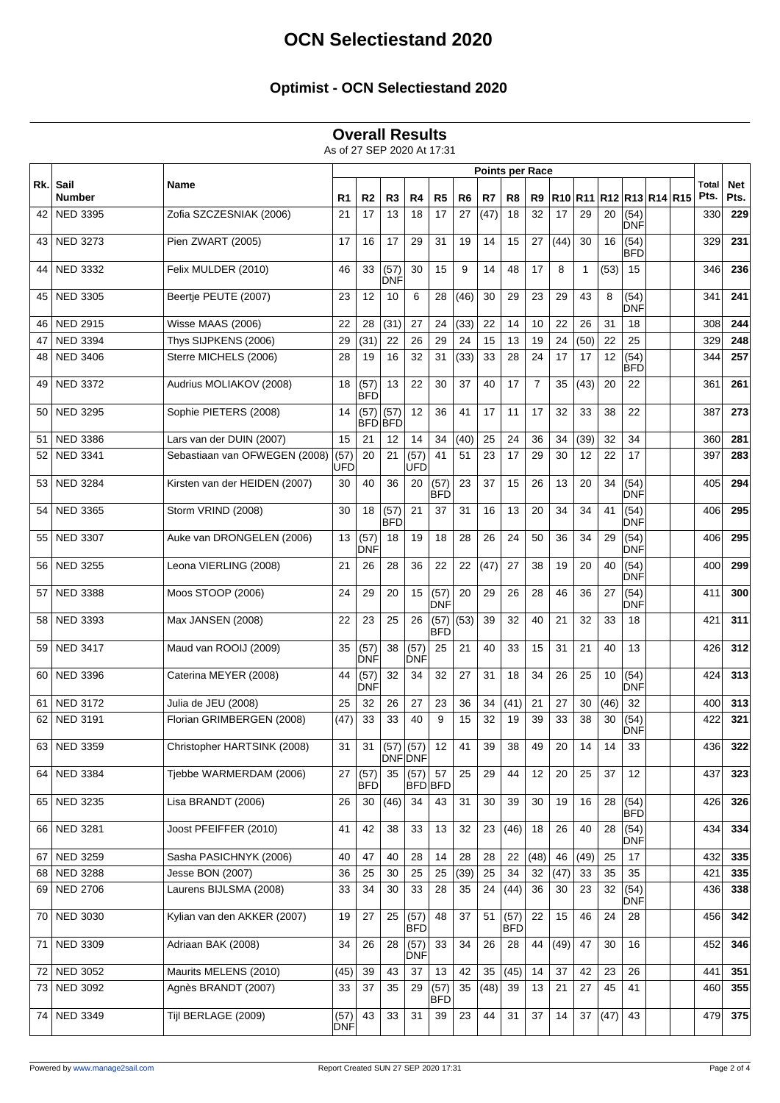### **Optimist - OCN Selectiestand 2020**

#### **Overall Results**

As of 27 SEP 2020 At 17:31

|     |                       | Name                          | <b>Points per Race</b> |                        |                       |                        |                    |      |      |                    |                |      |              |                         |                    |  |               |                    |
|-----|-----------------------|-------------------------------|------------------------|------------------------|-----------------------|------------------------|--------------------|------|------|--------------------|----------------|------|--------------|-------------------------|--------------------|--|---------------|--------------------|
| Rk. | Sail<br><b>Number</b> |                               | R1                     | R <sub>2</sub>         | R3                    | R4                     | R <sub>5</sub>     | R6   | R7   | R8                 | R9             |      |              | R10 R11 R12 R13 R14 R15 |                    |  | Total<br>Pts. | <b>Net</b><br>Pts. |
| 42  | <b>NED 3395</b>       | Zofia SZCZESNIAK (2006)       | 21                     | 17                     | 13                    | 18                     | 17                 | 27   | (47) | 18                 | 32             | 17   | 29           | 20                      | (54)<br>DNF        |  | 330           | 229                |
| 43  | <b>NED 3273</b>       | Pien ZWART (2005)             | 17                     | 16                     | 17                    | 29                     | 31                 | 19   | 14   | 15                 | 27             | (44) | 30           | 16                      | (54)<br><b>BFD</b> |  | 329           | 231                |
| 44  | <b>NED 3332</b>       | Felix MULDER (2010)           | 46                     | 33                     | (57)<br>IDNF          | 30                     | 15                 | 9    | 14   | 48                 | 17             | 8    | $\mathbf{1}$ | (53)                    | 15                 |  | 346           | 236                |
| 45  | <b>NED 3305</b>       | Beertje PEUTE (2007)          | 23                     | 12                     | 10                    | 6                      | 28                 | (46) | 30   | 29                 | 23             | 29   | 43           | 8                       | (54)<br>DNF        |  | 341           | 241                |
| 46  | <b>NED 2915</b>       | Wisse MAAS (2006)             | 22                     | 28                     | (31)                  | 27                     | 24                 | (33) | 22   | 14                 | 10             | 22   | 26           | 31                      | 18                 |  | 308           | 244                |
| 47  | <b>NED 3394</b>       | Thys SIJPKENS (2006)          | 29                     | (31)                   | 22                    | 26                     | 29                 | 24   | 15   | 13                 | 19             | 24   | (50)         | 22                      | 25                 |  | 329           | 248                |
| 48  | <b>NED 3406</b>       | Sterre MICHELS (2006)         | 28                     | 19                     | 16                    | 32                     | 31                 | (33) | 33   | 28                 | 24             | 17   | 17           | 12                      | (54)<br>BFD        |  | 344           | 257                |
| 49  | <b>NED 3372</b>       | Audrius MOLIAKOV (2008)       | 18                     | (57)<br><b>BFD</b>     | 13                    | 22                     | 30                 | 37   | 40   | 17                 | $\overline{7}$ | 35   | (43)         | 20                      | 22                 |  | 361           | 261                |
| 50  | <b>NED 3295</b>       | Sophie PIETERS (2008)         | 14                     | (57)<br><b>BFD</b> BFD | (57)                  | 12                     | 36                 | 41   | 17   | 11                 | 17             | 32   | 33           | 38                      | 22                 |  | 387           | 273                |
| 51  | <b>NED 3386</b>       | Lars van der DUIN (2007)      | 15                     | 21                     | 12                    | 14                     | 34                 | (40) | 25   | 24                 | 36             | 34   | (39)         | 32                      | 34                 |  | 360           | 281                |
| 52  | <b>NED 3341</b>       | Sebastiaan van OFWEGEN (2008) | (57)<br>UFD            | 20                     | 21                    | (57)<br><b>UFD</b>     | 41                 | 51   | 23   | 17                 | 29             | 30   | 12           | 22                      | 17                 |  | 397           | 283                |
| 53  | <b>NED 3284</b>       | Kirsten van der HEIDEN (2007) | 30                     | 40                     | 36                    | 20                     | (57)<br>BFD        | 23   | 37   | 15                 | 26             | 13   | 20           | 34                      | (54)<br>DNF        |  | 405           | 294                |
| 54  | <b>NED 3365</b>       | Storm VRIND (2008)            | 30                     | 18                     | (57)<br> BFD          | 21                     | 37                 | 31   | 16   | 13                 | 20             | 34   | 34           | 41                      | (54)<br><b>DNF</b> |  | 406           | 295                |
| 55  | <b>NED 3307</b>       | Auke van DRONGELEN (2006)     | 13                     | (57)<br>DNF            | 18                    | 19                     | 18                 | 28   | 26   | 24                 | 50             | 36   | 34           | 29                      | (54)<br>DNF        |  | 406           | 295                |
| 56  | <b>NED 3255</b>       | Leona VIERLING (2008)         | 21                     | 26                     | 28                    | 36                     | 22                 | 22   | (47) | 27                 | 38             | 19   | 20           | 40                      | (54)<br><b>DNF</b> |  | 400           | 299                |
| 57  | <b>NED 3388</b>       | Moos STOOP (2006)             | 24                     | 29                     | 20                    | 15                     | (57)<br>DNF        | 20   | 29   | 26                 | 28             | 46   | 36           | 27                      | (54)<br>DNF        |  | 411           | 300                |
| 58  | <b>NED 3393</b>       | Max JANSEN (2008)             | 22                     | 23                     | 25                    | 26                     | (57)<br><b>BFD</b> | (53) | 39   | 32                 | 40             | 21   | 32           | 33                      | 18                 |  | 421           | 311                |
| 59  | <b>NED 3417</b>       | Maud van ROOIJ (2009)         | 35                     | (57)<br>DNF            | 38                    | (57)<br><b>DNF</b>     | 25                 | 21   | 40   | 33                 | 15             | 31   | 21           | 40                      | 13                 |  | 426           | 312                |
| 60  | <b>NED 3396</b>       | Caterina MEYER (2008)         | 44                     | (57)<br>DNF            | 32                    | 34                     | 32                 | 27   | 31   | 18                 | 34             | 26   | 25           | 10                      | (54)<br><b>DNF</b> |  | 424           | 313                |
| 61  | <b>NED 3172</b>       | Julia de JEU (2008)           | 25                     | 32                     | 26                    | 27                     | 23                 | 36   | 34   | (41)               | 21             | 27   | 30           | (46)                    | 32                 |  | 400           | 313                |
| 62  | <b>NED 3191</b>       | Florian GRIMBERGEN (2008)     | (47)                   | 33                     | 33                    | 40                     | 9                  | 15   | 32   | 19                 | 39             | 33   | 38           | 30                      | (54)<br>DNF        |  | 422           | 321                |
|     | 63   NED 3359         | Christopher HARTSINK (2008)   | 31                     | 31                     | $(57)$ (57)<br>DNFDNF |                        | 12                 | 41   | 39   | 38                 | 49             | 20   | 14           | 14                      | 33                 |  | 436           | 322                |
|     | 64   NED 3384         | Tjebbe WARMERDAM (2006)       | 27                     | (57)<br>BFD            | 35                    | (57)<br><b>BFD</b> BFD | 57                 | 25   | 29   | 44                 | 12             | 20   | 25           | 37                      | 12                 |  | 437           | 323                |
|     | 65 NED 3235           | Lisa BRANDT (2006)            | 26                     | 30                     | (46)                  | 34                     | 43                 | 31   | 30   | 39                 | 30             | 19   | 16           | 28                      | (54)<br><b>BFD</b> |  | 426           | 326                |
| 66  | <b>NED 3281</b>       | Joost PFEIFFER (2010)         | 41                     | 42                     | 38                    | 33                     | 13                 | 32   | 23   | (46)               | 18             | 26   | 40           | 28                      | (54)<br><b>DNF</b> |  | 434           | 334                |
| 67  | <b>NED 3259</b>       | Sasha PASICHNYK (2006)        | 40                     | 47                     | 40                    | 28                     | 14                 | 28   | 28   | 22                 | (48)           | 46   | (49)         | 25                      | 17                 |  | 432           | 335                |
| 68  | <b>NED 3288</b>       | Jesse BON (2007)              | 36                     | 25                     | 30                    | 25                     | 25                 | (39) | 25   | 34                 | 32             | (47) | 33           | 35                      | 35                 |  | 421           | 335                |
| 69  | <b>NED 2706</b>       | Laurens BIJLSMA (2008)        | 33                     | 34                     | 30                    | 33                     | 28                 | 35   | 24   | (44)               | 36             | 30   | 23           | 32                      | (54)<br>DNF        |  | 436           | 338                |
| 70  | <b>NED 3030</b>       | Kylian van den AKKER (2007)   | 19                     | 27                     | 25                    | (57)<br>BFD            | 48                 | 37   | 51   | (57)<br><b>BFD</b> | 22             | 15   | 46           | 24                      | 28                 |  | 456           | 342                |
| 71  | <b>NED 3309</b>       | Adriaan BAK (2008)            | 34                     | 26                     | 28                    | (57)<br><b>DNF</b>     | 33                 | 34   | 26   | 28                 | 44             | (49) | 47           | 30                      | 16                 |  | 452           | 346                |
|     | 72 NED 3052           | Maurits MELENS (2010)         | (45)                   | 39                     | 43                    | 37                     | 13                 | 42   | 35   | (45)               | 14             | 37   | 42           | 23                      | 26                 |  | 441           | 351                |
| 73  | NED 3092              | Agnès BRANDT (2007)           | 33                     | 37                     | 35                    | 29                     | (57)<br><b>BFD</b> | 35   | (48) | 39                 | 13             | 21   | 27           | 45                      | 41                 |  | 460           | 355                |
|     | 74   NED 3349         | Tijl BERLAGE (2009)           | (57)<br>DNF            | 43                     | 33                    | 31                     | 39                 | 23   | 44   | 31                 | 37             | 14   | 37           | (47)                    | 43                 |  | 479           | 375                |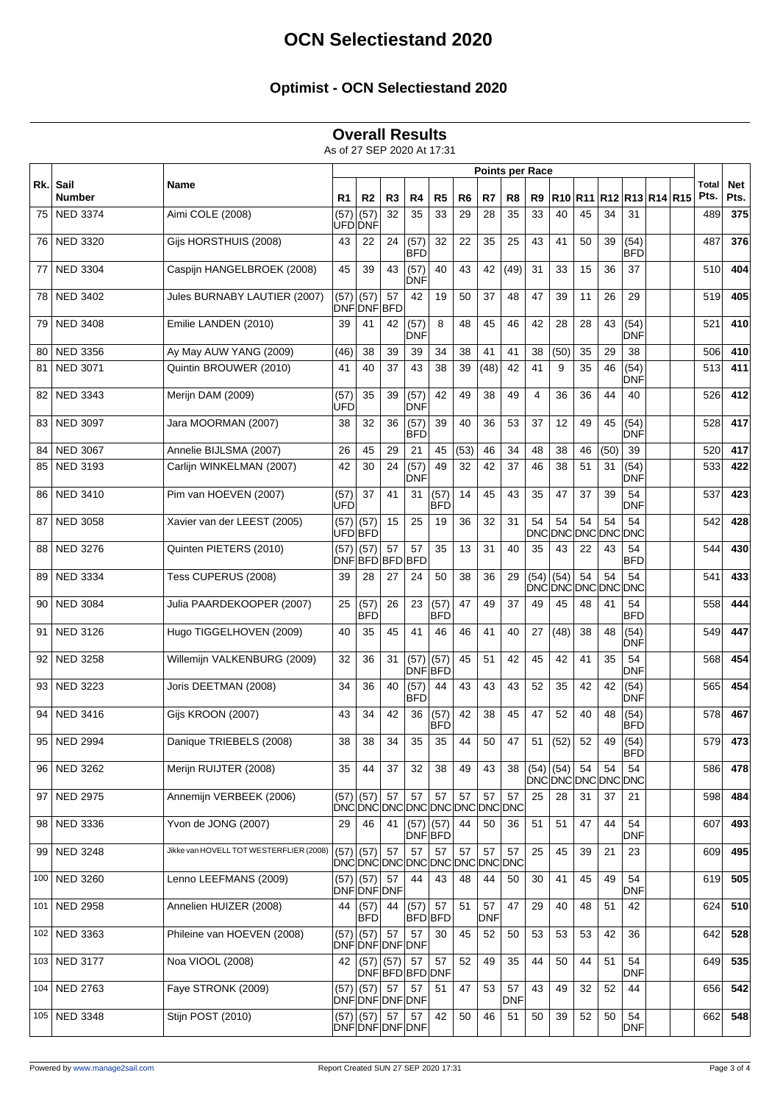### **Optimist - OCN Selectiestand 2020**

#### **Overall Results**

As of 27 SEP 2020 At 17:31

|     |                       | Name                                    | <b>Points per Race</b> |                                   |                |                        |                    |                |                  |                  |              |                      |    |                       |                    |  |               |             |
|-----|-----------------------|-----------------------------------------|------------------------|-----------------------------------|----------------|------------------------|--------------------|----------------|------------------|------------------|--------------|----------------------|----|-----------------------|--------------------|--|---------------|-------------|
| Rk. | Sail<br><b>Number</b> |                                         | R <sub>1</sub>         | R <sub>2</sub>                    | R <sub>3</sub> | R4                     | R <sub>5</sub>     | R <sub>6</sub> | R7               | R8               | R9           | R10                  |    | R11 R12 R13 R14 R15   |                    |  | Total<br>Pts. | Net<br>Pts. |
| 75  | <b>NED 3374</b>       | Aimi COLE (2008)                        | (57)                   | (57)<br>UFD DNF                   | 32             | 35                     | 33                 | 29             | 28               | 35               | 33           | 40                   | 45 | 34                    | 31                 |  | 489           | 375         |
| 76  | <b>NED 3320</b>       | Gijs HORSTHUIS (2008)                   | 43                     | 22                                | 24             | (57)<br><b>BFD</b>     | 32                 | 22             | 35               | 25               | 43           | 41                   | 50 | 39                    | (54)<br><b>BFD</b> |  | 487           | 376         |
| 77  | <b>NED 3304</b>       | Caspijn HANGELBROEK (2008)              | 45                     | 39                                | 43             | (57)<br>'DNF           | 40                 | 43             | 42               | (49)             | 31           | 33                   | 15 | 36                    | 37                 |  | 510           | 404         |
| 78  | <b>NED 3402</b>       | Jules BURNABY LAUTIER (2007)            | (57)                   | (57)<br>DNFDNFBFD                 | 57             | 42                     | 19                 | 50             | 37               | 48               | 47           | 39                   | 11 | 26                    | 29                 |  | 519           | 405         |
| 79  | <b>NED 3408</b>       | Emilie LANDEN (2010)                    | 39                     | 41                                | 42             | (57)<br>DNF            | 8                  | 48             | 45               | 46               | 42           | 28                   | 28 | 43                    | (54)<br><b>DNF</b> |  | 521           | 410         |
| 80  | <b>NED 3356</b>       | Ay May AUW YANG (2009)                  | (46)                   | 38                                | 39             | 39                     | 34                 | 38             | 41               | 41               | 38           | (50)                 | 35 | 29                    | 38                 |  | 506           | 410         |
| 81  | <b>NED 3071</b>       | Quintin BROUWER (2010)                  | 41                     | 40                                | 37             | 43                     | 38                 | 39             | (48)             | 42               | 41           | 9                    | 35 | 46                    | (54)<br>DNF        |  | 513           | 411         |
| 82  | <b>NED 3343</b>       | Merijn DAM (2009)                       | (57)<br>UFD            | 35                                | 39             | (57)<br>DNF            | 42                 | 49             | 38               | 49               | 4            | 36                   | 36 | 44                    | 40                 |  | 526           | 412         |
| 83  | <b>NED 3097</b>       | Jara MOORMAN (2007)                     | 38                     | 32                                | 36             | (57)<br><b>BFD</b>     | 39                 | 40             | 36               | 53               | 37           | 12                   | 49 | 45                    | (54)<br>DNF        |  | 528           | 417         |
| 84  | <b>NED 3067</b>       | Annelie BIJLSMA (2007)                  | 26                     | 45                                | 29             | 21                     | 45                 | (53)           | 46               | 34               | 48           | 38                   | 46 | (50)                  | 39                 |  | 520           | 417         |
| 85  | <b>NED 3193</b>       | Carlijn WINKELMAN (2007)                | 42                     | 30                                | 24             | (57)<br>DNF            | 49                 | 32             | 42               | 37               | 46           | 38                   | 51 | 31                    | (54)<br>DNF        |  | 533           | 422         |
| 86  | <b>NED 3410</b>       | Pim van HOEVEN (2007)                   | (57)<br>UFD            | 37                                | 41             | 31                     | (57)<br><b>BFD</b> | 14             | 45               | 43               | 35           | 47                   | 37 | 39                    | 54<br><b>DNF</b>   |  | 537           | 423         |
| 87  | <b>NED 3058</b>       | Xavier van der LEEST (2005)             | (57)                   | (57)<br>UFD BFD                   | 15             | 25                     | 19                 | 36             | 32               | 31               | 54<br>DNCI   | 54<br><b>DNC DNC</b> | 54 | 54<br><b>DNC DNC</b>  | 54                 |  | 542           | 428         |
| 88  | <b>NED 3276</b>       | Quinten PIETERS (2010)                  | (57)                   | (57)<br>DNF BFD BFD               | 57             | 57<br><b>BFD</b>       | 35                 | 13             | 31               | 40               | 35           | 43                   | 22 | 43                    | 54<br><b>BFD</b>   |  | 544           | 430         |
| 89  | <b>NED 3334</b>       | Tess CUPERUS (2008)                     | 39                     | 28                                | 27             | 24                     | 50                 | 38             | 36               | 29               | (54)<br>DNCI | (54)                 | 54 | 54<br>DNC DNC DNC DNC | 54                 |  | 541           | 433         |
| 90  | <b>NED 3084</b>       | Julia PAARDEKOOPER (2007)               | 25                     | (57)<br>BFD                       | 26             | 23                     | (57)<br><b>BFD</b> | 47             | 49               | 37               | 49           | 45                   | 48 | 41                    | 54<br><b>BFD</b>   |  | 558           | 444         |
| 91  | <b>NED 3126</b>       | Hugo TIGGELHOVEN (2009)                 | 40                     | 35                                | 45             | 41                     | 46                 | 46             | 41               | 40               | 27           | (48)                 | 38 | 48                    | (54)<br><b>DNF</b> |  | 549           | 447         |
| 92  | <b>NED 3258</b>       | Willemijn VALKENBURG (2009)             | 32                     | 36                                | 31             | (57)<br><b>DNF BFD</b> | (57)               | 45             | 51               | 42               | 45           | 42                   | 41 | 35                    | 54<br>DNF          |  | 568           | 454         |
| 93  | <b>NED 3223</b>       | Joris DEETMAN (2008)                    | 34                     | 36                                | 40             | (57)<br><b>BFD</b>     | 44                 | 43             | 43               | 43               | 52           | 35                   | 42 | 42                    | (54)<br>DNF        |  | 565           | 454         |
| 94  | <b>NED 3416</b>       | Gijs KROON (2007)                       | 43                     | 34                                | 42             | 36                     | (57)<br><b>BFD</b> | 42             | 38               | 45               | 47           | 52                   | 40 | 48                    | (54)<br><b>BFD</b> |  | 578           | 467         |
| 95  | <b>NED 2994</b>       | Danique TRIEBELS (2008)                 | 38                     | 38                                | 34             | 35                     | 35                 | 44             | 50               | 47               | 51           | (52)                 | 52 | 49                    | (54)<br>в⊦∪        |  | 579           | 473         |
|     | 96 NED 3262           | Merijn RUIJTER (2008)                   | 35                     | 44                                | 37             | 32                     | 38                 | 49             | 43               | 38               | $(54)$ (54)  |                      | 54 | 54<br>DNCDNCDNCDNCDNC | 54                 |  | 586           | 478         |
| 97  | <b>NED 2975</b>       | Annemijn VERBEEK (2006)                 | (57)                   | (57)<br>DNCDNCDNCDNCDNCDNCDNCDNC  | 57             | 57                     | 57                 | 57             | 57               | 57               | 25           | 28                   | 31 | 37                    | 21                 |  | 598           | 484         |
| 98  | <b>NED 3336</b>       | Yvon de JONG (2007)                     | 29                     | 46                                | 41             | (57)<br>DNF BFD        | (57)               | 44             | 50               | 36               | 51           | 51                   | 47 | 44                    | 54<br><b>DNF</b>   |  | 607           | 493         |
| 99  | <b>NED 3248</b>       | Jikke van HOVELL TOT WESTERFLIER (2008) | (57)                   | (57)<br>DNCDNCDNCDNCDNCDNCDNCDNCD | 57             | 57                     | 57                 | 57             | 57               | 57               | 25           | 45                   | 39 | 21                    | 23                 |  | 609           | 495         |
| 100 | NED 3260              | Lenno LEEFMANS (2009)                   |                        | $(57)$ (57)<br>DNF DNF DNF        | 57             | 44                     | 43                 | 48             | 44               | 50               | 30           | 41                   | 45 | 49                    | 54<br><b>DNF</b>   |  | 619           | 505         |
| 101 | <b>NED 2958</b>       | Annelien HUIZER (2008)                  | 44                     | (57)<br><b>BFD</b>                | 44             | (57)<br><b>BFD</b> BFD | 57                 | 51             | 57<br><b>DNF</b> | 47               | 29           | 40                   | 48 | 51                    | 42                 |  | 624           | 510         |
|     | 102 NED 3363          | Phileine van HOEVEN (2008)              | (57)                   | (57)<br>DNF DNF DNF DNF           | 57             | 57                     | 30                 | 45             | 52               | 50               | 53           | 53                   | 53 | 42                    | 36                 |  | 642           | 528         |
|     | 103 NED 3177          | Noa VIOOL (2008)                        | 42                     | $(57)$ (57)                       |                | 57<br>DNF BFD BFD DNF  | 57                 | 52             | 49               | 35               | 44           | 50                   | 44 | 51                    | 54<br><b>DNF</b>   |  | 649           | 535         |
|     | 104   NED 2763        | Faye STRONK (2009)                      |                        | $(57)$ (57)<br>DNF DNF DNF DNF    | 57             | 57                     | 51                 | 47             | 53               | 57<br><b>DNF</b> | 43           | 49                   | 32 | 52                    | 44                 |  | 656           | 542         |
|     | 105   NED 3348        | Stijn POST (2010)                       | (57)                   | (57)<br>DNF DNF DNF DNF           | 57             | 57                     | 42                 | 50             | 46               | 51               | 50           | 39                   | 52 | 50                    | 54<br><b>DNF</b>   |  | 662           | 548         |